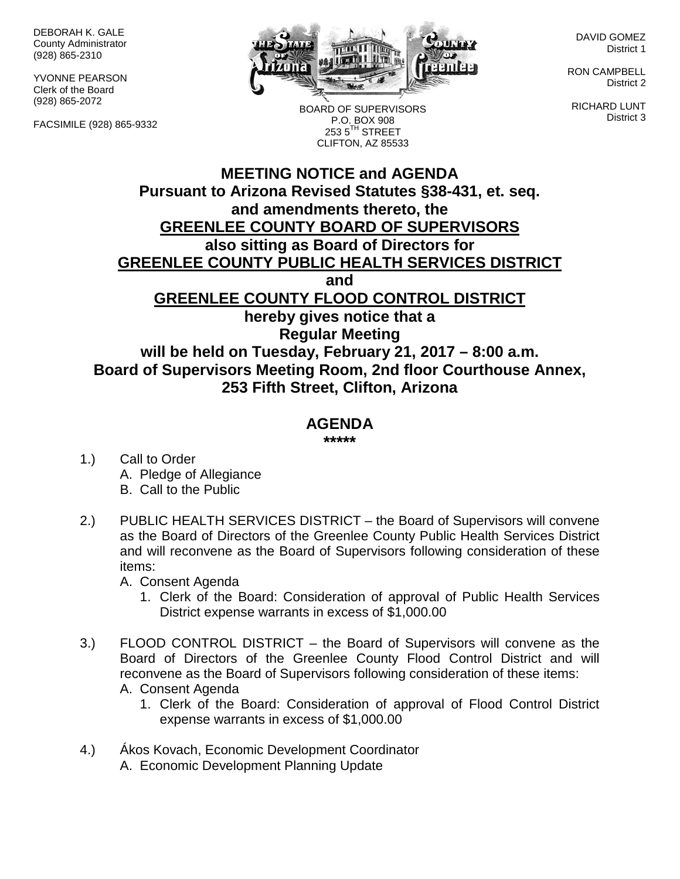DEBORAH K. GALE County Administrator (928) 865-2310

YVONNE PEARSON Clerk of the Board (928) 865-2072

FACSIMILE (928) 865-9332



DAVID GOMEZ District 1

RON CAMPBELL District 2

RICHARD LUNT District 3

BOARD OF SUPERVISORS P.O. BOX 908  $2535^{\text{TH}}$  STREET CLIFTON, AZ 85533

## **MEETING NOTICE and AGENDA Pursuant to Arizona Revised Statutes §38-431, et. seq. and amendments thereto, the GREENLEE COUNTY BOARD OF SUPERVISORS also sitting as Board of Directors for GREENLEE COUNTY PUBLIC HEALTH SERVICES DISTRICT and GREENLEE COUNTY FLOOD CONTROL DISTRICT hereby gives notice that a Regular Meeting will be held on Tuesday, February 21, 2017 – 8:00 a.m. Board of Supervisors Meeting Room, 2nd floor Courthouse Annex, 253 Fifth Street, Clifton, Arizona**

## **AGENDA**

**\*\*\*\*\***

- 1.) Call to Order A. Pledge of Allegiance B. Call to the Public
- 2.) PUBLIC HEALTH SERVICES DISTRICT the Board of Supervisors will convene as the Board of Directors of the Greenlee County Public Health Services District and will reconvene as the Board of Supervisors following consideration of these items:

A. Consent Agenda

- 1. Clerk of the Board: Consideration of approval of Public Health Services District expense warrants in excess of \$1,000.00
- 3.) FLOOD CONTROL DISTRICT the Board of Supervisors will convene as the Board of Directors of the Greenlee County Flood Control District and will reconvene as the Board of Supervisors following consideration of these items: A. Consent Agenda
	- 1. Clerk of the Board: Consideration of approval of Flood Control District expense warrants in excess of \$1,000.00
- 4.) Ákos Kovach, Economic Development Coordinator A. Economic Development Planning Update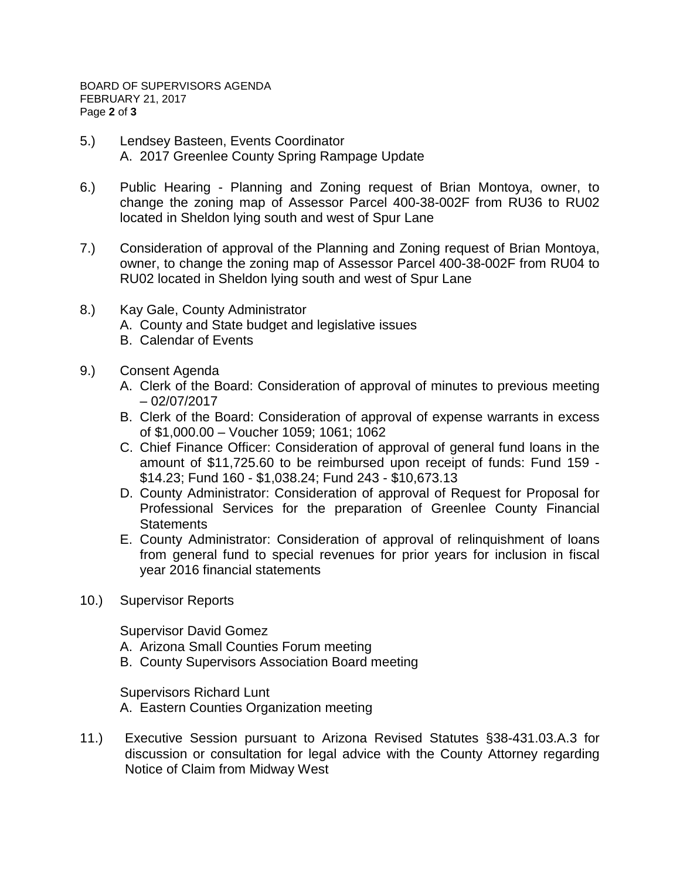- 5.) Lendsey Basteen, Events Coordinator A. 2017 Greenlee County Spring Rampage Update
- 6.) Public Hearing Planning and Zoning request of Brian Montoya, owner, to change the zoning map of Assessor Parcel 400-38-002F from RU36 to RU02 located in Sheldon lying south and west of Spur Lane
- 7.) Consideration of approval of the Planning and Zoning request of Brian Montoya, owner, to change the zoning map of Assessor Parcel 400-38-002F from RU04 to RU02 located in Sheldon lying south and west of Spur Lane
- 8.) Kay Gale, County Administrator
	- A. County and State budget and legislative issues
	- B. Calendar of Events
- 9.) Consent Agenda
	- A. Clerk of the Board: Consideration of approval of minutes to previous meeting – 02/07/2017
	- B. Clerk of the Board: Consideration of approval of expense warrants in excess of \$1,000.00 – Voucher 1059; 1061; 1062
	- C. Chief Finance Officer: Consideration of approval of general fund loans in the amount of \$11,725.60 to be reimbursed upon receipt of funds: Fund 159 - \$14.23; Fund 160 - \$1,038.24; Fund 243 - \$10,673.13
	- D. County Administrator: Consideration of approval of Request for Proposal for Professional Services for the preparation of Greenlee County Financial **Statements**
	- E. County Administrator: Consideration of approval of relinquishment of loans from general fund to special revenues for prior years for inclusion in fiscal year 2016 financial statements
- 10.) Supervisor Reports

Supervisor David Gomez

- A. Arizona Small Counties Forum meeting
- B. County Supervisors Association Board meeting

Supervisors Richard Lunt A. Eastern Counties Organization meeting

11.) Executive Session pursuant to Arizona Revised Statutes §38-431.03.A.3 for discussion or consultation for legal advice with the County Attorney regarding Notice of Claim from Midway West